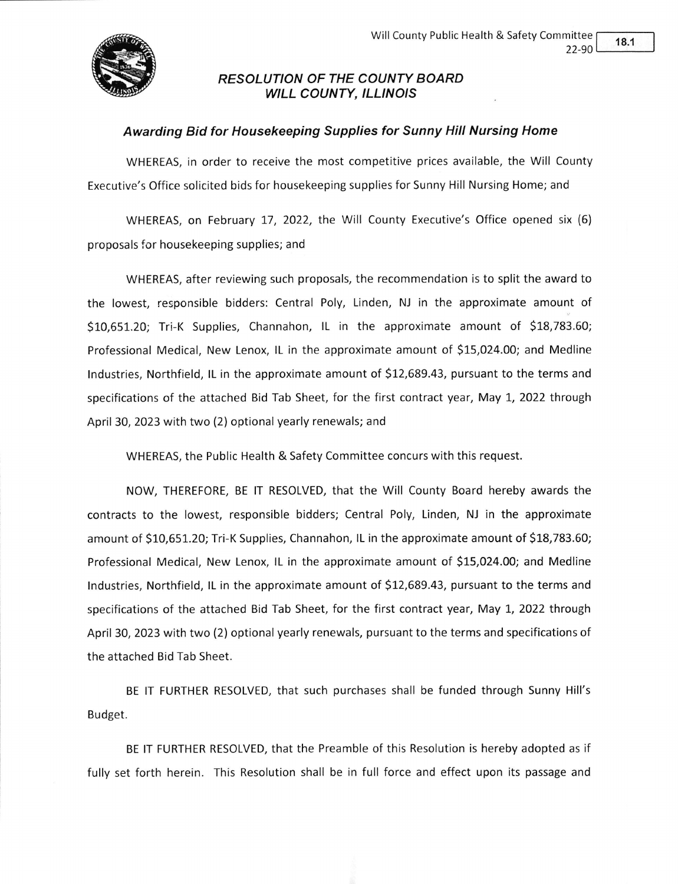

## RESOLUTION OF THE COUNTY BOARD WILL COUNTY, ILLINOIS

## Awarding Bid for Housekeeping Supplies for Sunny Hill Nursing Home

WHEREAS, in order to receive the most competitive prices available, the Will County Executive's Office solicited bids for housekeeping supplies for Sunny Hill Nursing Home; and

WHEREAS, on February 17,2022, the Will County Executive's Office opened six (6) proposals for housekeeping supplies; and

WHEREAS, after reviewing such proposals, the recommendation is to split the award to the lowest, responsible bidders: Central Poly, Linden, NJ in the approximate amount of S10,55t.ZO; Tri-K Supplies, Channahon, lL in the approximate amount of 518,783.60; Professional Medical, New Lenox, lL in the approximate amount of 515,024.00; and Medline lndustries, Northfield, lL in the approximate amount of S12,689.43, pursuant to the terms and specifications of the attached Bid Tab Sheet, for the first contract year, May 1, 2022 through April 30, 2023 with two (2) optional yearly renewals; and

WHEREAS, the Public Health & Safety Committee concurs with this request.

NOW, THEREFORE, BE lT RESOLVED, that the Will County Board hereby awards the contracts to the lowest, responsible bidders; Central Poly, Linden, NJ in the approximate amount of 510,651.20; Tri-K Supplies, Channahon, lL in the approximate amount of 518,783.60; Professional Medical, New Lenox, lL in the approximate amount of 515,024.00; and Medline lndustries, Northfield, lL in the approximate amount of 512,689.43, pursuant to the terms and specifications of the attached Bid Tab Sheet, for the first contract year, May 1, 2022 through April 30, 2023 with two (2) optional yearly renewals, pursuant to the terms and specifications of the attached Bid Tab Sheet.

BE lT FURTHER RESOLVED, that such purchases shall be funded through Sunny Hill's Budget.

BE lT FURTHER RESOLVED, that the Preamble of this Resolution is hereby adopted as if fully set forth herein. This Resolution shall be in full force and effect upon its passage and